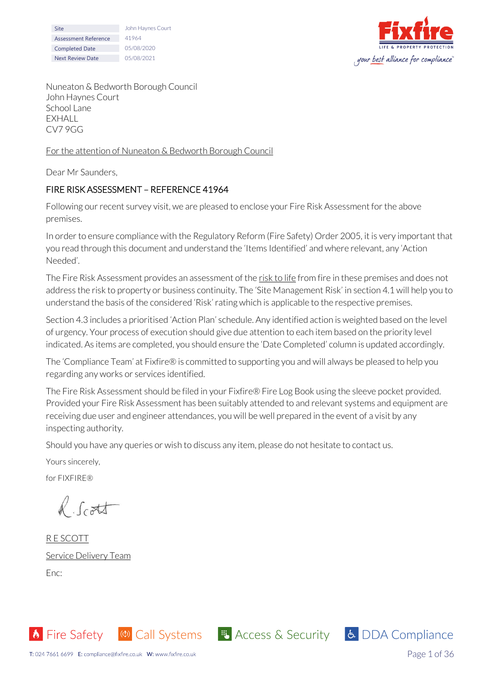| Site                    | John Haynes Court |
|-------------------------|-------------------|
| Assessment Reference    | 41964             |
| <b>Completed Date</b>   | 05/08/2020        |
| <b>Next Review Date</b> | 05/08/2021        |



Nuneaton & Bedworth Borough Council John Haynes Court School Lane **FXHALL** CV7 9GG

#### For the attention of Nuneaton & Bedworth Borough Council

Dear Mr Saunders,

## FIRE RISK ASSESSMENT – REFERENCE 41964

Following our recent survey visit, we are pleased to enclose your Fire Risk Assessment for the above premises.

In order to ensure compliance with the Regulatory Reform (Fire Safety) Order 2005, it is very important that you read through this document and understand the 'Items Identified' and where relevant, any 'Action Needed'.

The Fire Risk Assessment provides an assessment of the risk to life from fire in these premises and does not address the risk to property or business continuity. The 'Site Management Risk' in section 4.1 will help you to understand the basis of the considered 'Risk' rating which is applicable to the respective premises.

Section 4.3 includes a prioritised 'Action Plan' schedule. Any identified action is weighted based on the level of urgency. Your process of execution should give due attention to each item based on the priority level indicated. As items are completed, you should ensure the 'Date Completed' column is updated accordingly.

The 'Compliance Team' at Fixfire® is committed to supporting you and will always be pleased to help you regarding any works or services identified.

The Fire Risk Assessment should be filed in your Fixfire® Fire Log Book using the sleeve pocket provided. Provided your Fire Risk Assessment has been suitably attended to and relevant systems and equipment are receiving due user and engineer attendances, you will be well prepared in the event of a visit by any inspecting authority.

Should you have any queries or wish to discuss any item, please do not hesitate to contact us.

Yours sincerely,

for FIXFIRE®

 $R$ . Scott

R E SCOTT Service Delivery Team Enc:

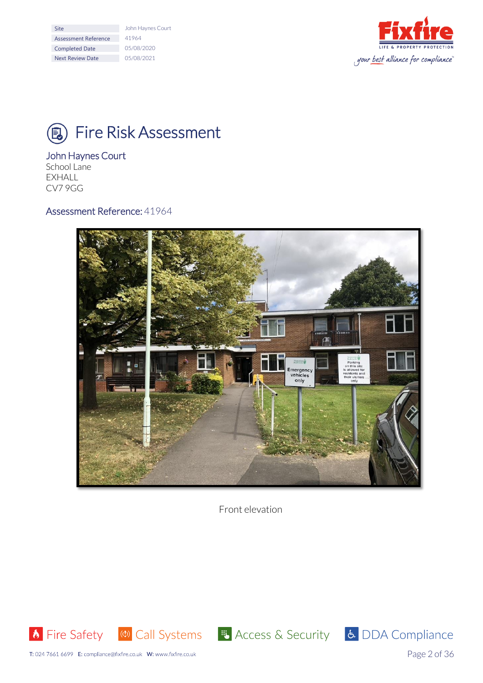| Site                    | John Haynes Court |
|-------------------------|-------------------|
| Assessment Reference    | 41964             |
| <b>Completed Date</b>   | 05/08/2020        |
| <b>Next Review Date</b> | 05/08/2021        |



#### Fire Risk Assessment  $\circledR$

## John Haynes Court

School Lane EXHALL CV7 9GG

## Assessment Reference: 41964



Front elevation







Page 2 of 36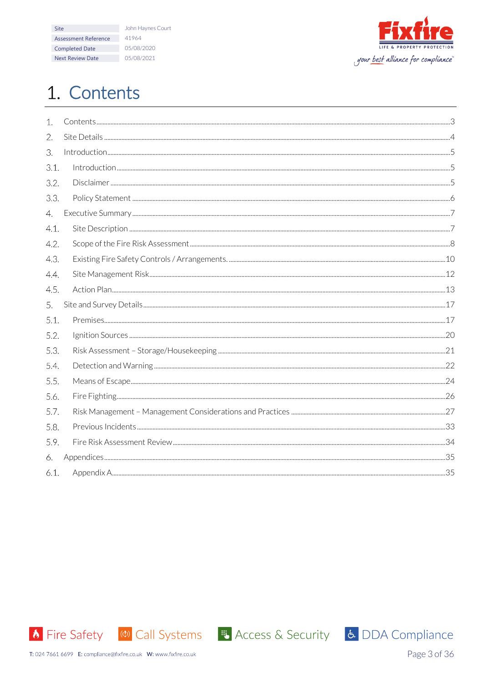| Site                    | John Haynes Court |
|-------------------------|-------------------|
| Assessment Reference    | 41964             |
| <b>Completed Date</b>   | 05/08/2020        |
| <b>Next Review Date</b> | 05/08/2021        |



## <span id="page-2-0"></span>1. Contents

| 4.3. |  |
|------|--|
| 4.4. |  |
|      |  |
|      |  |
|      |  |
|      |  |
|      |  |
| 5.4. |  |
|      |  |
| 5.6. |  |
| 5.7. |  |
|      |  |
|      |  |
|      |  |
| 6.1. |  |
|      |  |

**b** Fire Safety



Page 3 of 36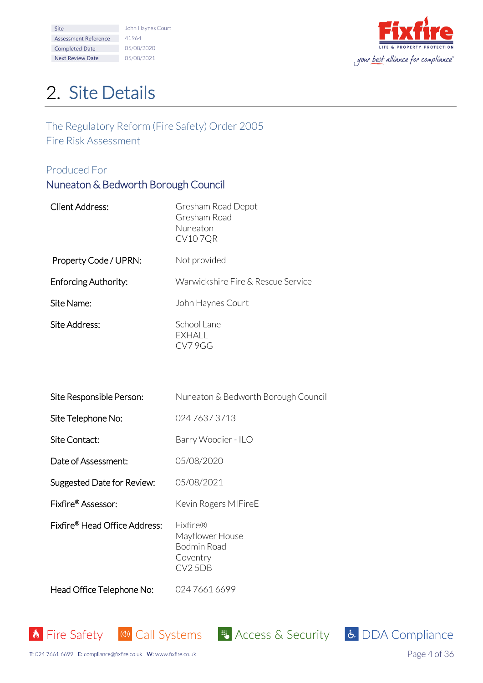| <b>Site</b>             | John Haynes Court |
|-------------------------|-------------------|
| Assessment Reference    | 41964             |
| <b>Completed Date</b>   | 05/08/2020        |
| <b>Next Review Date</b> | 05/08/2021        |



# <span id="page-3-0"></span>2. Site Details

The Regulatory Reform (Fire Safety) Order 2005 Fire Risk Assessment

## Produced For

## Nuneaton & Bedworth Borough Council

| <b>Client Address:</b>      | Gresham Road Depot<br>Gresham Road<br>Nuneaton<br><b>CV107QR</b> |
|-----------------------------|------------------------------------------------------------------|
| Property Code / UPRN:       | Not provided                                                     |
| <b>Enforcing Authority:</b> | Warwickshire Fire & Rescue Service                               |
| Site Name:                  | John Haynes Court                                                |
| Site Address:               | School Lane<br><b>EXHALL</b><br>CV79G                            |

| Site Responsible Person: | Nuneaton & Bedworth Borough Council |
|--------------------------|-------------------------------------|
|                          |                                     |

Site Telephone No: 024 7637 3713

Site Contact: Barry Woodier - ILO

Date of Assessment: 05/08/2020

Suggested Date for Review: 05/08/2021

Fixfire® Assessor: Kevin Rogers MIFireE

Fixfire<sup>®</sup> Head Office Address: Fixfire®

Mayflower House Bodmin Road Coventry CV2 5DB

Head Office Telephone No: 024 7661 6699



<sup>(1)</sup> Call Systems | iij Access & Security | & DDA Compliance

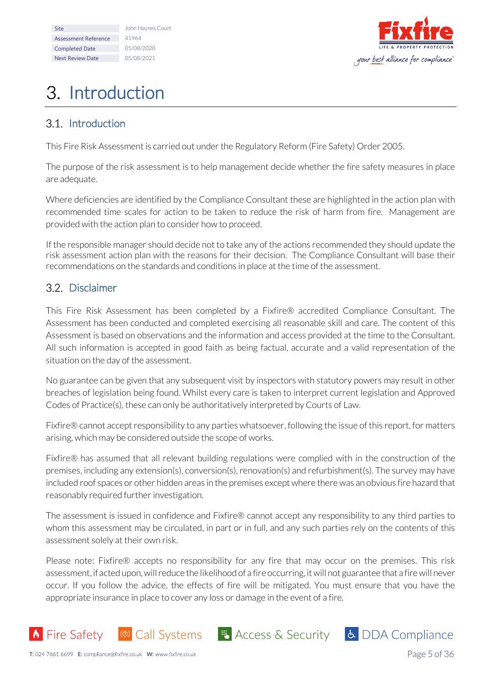| Site                    | John Haynes Court |
|-------------------------|-------------------|
| Assessment Reference    | 41964             |
| <b>Completed Date</b>   | 05/08/2020        |
| <b>Next Review Date</b> | 05/08/2021        |



# <span id="page-4-0"></span>3. Introduction

## <span id="page-4-1"></span>3.1. Introduction

This Fire Risk Assessment is carried out under the Regulatory Reform (Fire Safety) Order 2005.

The purpose of the risk assessment is to help management decide whether the fire safety measures in place are adequate.

Where deficiencies are identified by the Compliance Consultant these are highlighted in the action plan with recommended time scales for action to be taken to reduce the risk of harm from fire. Management are provided with the action plan to consider how to proceed.

If the responsible manager should decide not to take any of the actions recommended they should update the risk assessment action plan with the reasons for their decision. The Compliance Consultant will base their recommendations on the standards and conditions in place at the time of the assessment.

## <span id="page-4-2"></span>3.2. Disclaimer

This Fire Risk Assessment has been completed by a Fixfire® accredited Compliance Consultant. The Assessment has been conducted and completed exercising all reasonable skill and care. The content of this Assessment is based on observations and the information and access provided at the time to the Consultant. All such information is accepted in good faith as being factual, accurate and a valid representation of the situation on the day of the assessment.

No guarantee can be given that any subsequent visit by inspectors with statutory powers may result in other breaches of legislation being found. Whilst every care is taken to interpret current legislation and Approved Codes of Practice(s), these can only be authoritatively interpreted by Courts of Law.

Fixfire® cannot accept responsibility to any parties whatsoever, following the issue of this report, for matters arising, which may be considered outside the scope of works.

Fixfire® has assumed that all relevant building regulations were complied with in the construction of the premises, including any extension(s), conversion(s), renovation(s) and refurbishment(s). The survey may have included roof spaces or other hidden areas in the premises except where there was an obvious fire hazard that reasonably required further investigation.

The assessment is issued in confidence and Fixfire® cannot accept any responsibility to any third parties to whom this assessment may be circulated, in part or in full, and any such parties rely on the contents of this assessment solely at their own risk.

Please note: Fixfire® accepts no responsibility for any fire that may occur on the premises. This risk assessment, if acted upon, will reduce the likelihood of a fire occurring, it will not guarantee that a fire will never occur. If you follow the advice, the effects of fire will be mitigated. You must ensure that you have the appropriate insurance in place to cover any loss or damage in the event of a fire.

© Call Systems File Access & Security 6 DDA Compliance



**8** Fire Safety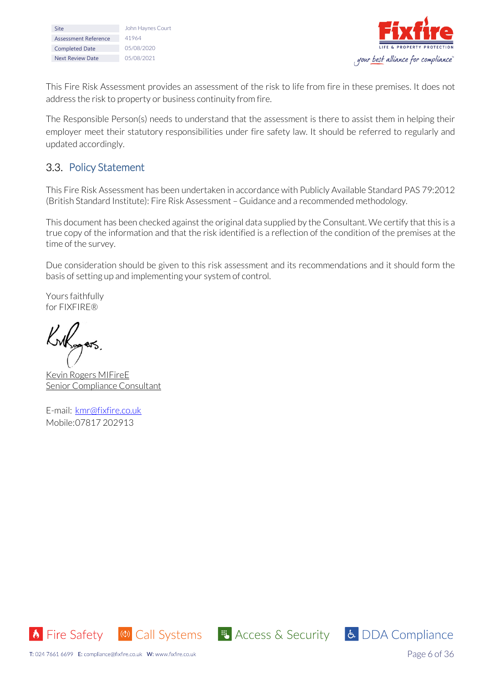| Site                    | John Haynes Court |
|-------------------------|-------------------|
| Assessment Reference    | 41964             |
| <b>Completed Date</b>   | 05/08/2020        |
| <b>Next Review Date</b> | 05/08/2021        |



This Fire Risk Assessment provides an assessment of the risk to life from fire in these premises. It does not address the risk to property or business continuity from fire.

The Responsible Person(s) needs to understand that the assessment is there to assist them in helping their employer meet their statutory responsibilities under fire safety law. It should be referred to regularly and updated accordingly.

## <span id="page-5-0"></span>3.3. Policy Statement

This Fire Risk Assessment has been undertaken in accordance with Publicly Available Standard PAS 79:2012 (British Standard Institute): Fire Risk Assessment – Guidance and a recommended methodology.

This document has been checked against the original data supplied by the Consultant. We certify that this is a true copy of the information and that the risk identified is a reflection of the condition of the premises at the time of the survey.

Due consideration should be given to this risk assessment and its recommendations and it should form the basis of setting up and implementing your system of control.

Yours faithfully for FIXFIRE®

Kutkgass

Kevin Rogers MIFireE Senior Compliance Consultant

E-mail: [kmr@fixfire.co.uk](mailto:kmr@fixfire.co.uk) Mobile:07817 202913

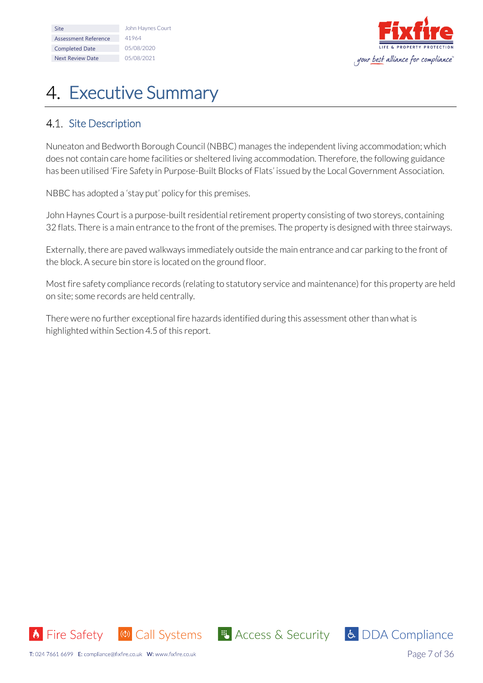| <b>Site</b>                 | John Haynes Court |
|-----------------------------|-------------------|
| <b>Assessment Reference</b> | 41964             |
| <b>Completed Date</b>       | 05/08/2020        |
| <b>Next Review Date</b>     | 05/08/2021        |



## <span id="page-6-0"></span>4. Executive Summary

## <span id="page-6-1"></span>4.1. Site Description

Nuneaton and Bedworth Borough Council (NBBC) manages the independent living accommodation; which does not contain care home facilities or sheltered living accommodation. Therefore, the following guidance has been utilised 'Fire Safety in Purpose-Built Blocks of Flats' issued by the Local Government Association.

NBBC has adopted a 'stay put' policy for this premises.

John Haynes Court is a purpose-built residential retirement property consisting of two storeys, containing 32 flats. There is a main entrance to the front of the premises. The property is designed with three stairways.

Externally, there are paved walkways immediately outside the main entrance and car parking to the front of the block. A secure bin store is located on the ground floor.

Most fire safety compliance records (relating to statutory service and maintenance) for this property are held on site; some records are held centrally.

■ Access & Security

There were no further exceptional fire hazards identified during this assessment other than what is highlighted within Section 4.5 of this report.



Page 7 of 36

& DDA Compliance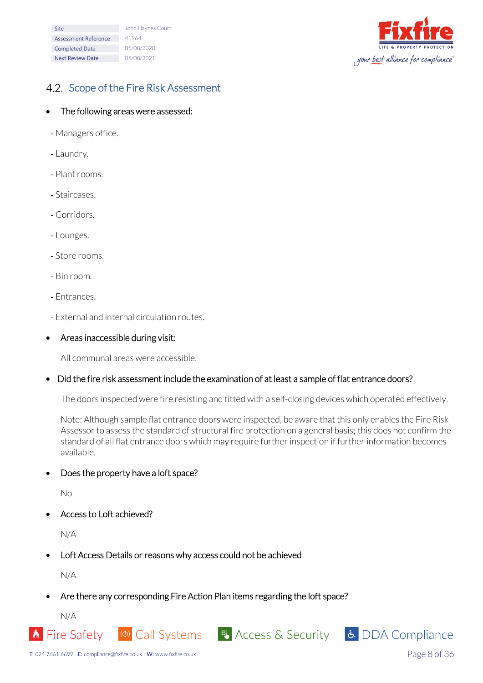| <b>Site</b>             | John Haynes Court |
|-------------------------|-------------------|
| Assessment Reference    | 41964             |
| <b>Completed Date</b>   | 05/08/2020        |
| <b>Next Review Date</b> | 05/08/2021        |



## <span id="page-7-0"></span>4.2. Scope of the Fire Risk Assessment

#### • The following areas were assessed:

- Managers office.
- Laundry.
- Plant rooms.
- Staircases.
- Corridors.
- Lounges.
- Store rooms.
- Bin room.
- Entrances.
- External and internal circulation routes.
- Areas inaccessible during visit:

All communal areas were accessible.

#### • Did the fire risk assessment include the examination of at least a sample of flat entrance doors?

The doors inspected were fire resisting and fitted with a self-closing devices which operated effectively.

Note: Although sample flat entrance doors were inspected, be aware that this only enables the Fire Risk Assessor to assess the standard of structural fire protection on a general basis; this does not confirm the standard of all flat entrance doors which may require further inspection if further information becomes available.

• Does the property have a loft space?

No

Access to Loft achieved?

N/A

• Loft Access Details or reasons why access could not be achieved

N/A

• Are there any corresponding Fire Action Plan items regarding the loft space?

N/A

**b** Fire Safety



© Call Systems File Access & Security 6 DDA Compliance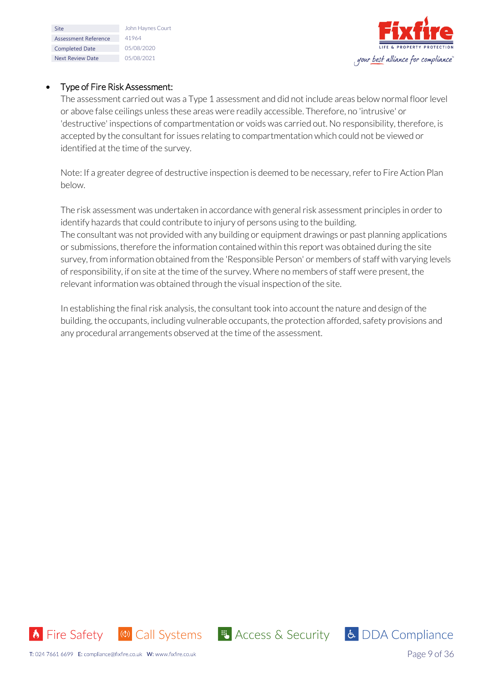| <b>Site</b>             | John Haynes Court |
|-------------------------|-------------------|
| Assessment Reference    | 41964             |
| <b>Completed Date</b>   | 05/08/2020        |
| <b>Next Review Date</b> | 05/08/2021        |



#### • Type of Fire Risk Assessment:

The assessment carried out was a Type 1 assessment and did not include areas below normal floor level or above false ceilings unless these areas were readily accessible. Therefore, no 'intrusive' or 'destructive' inspections of compartmentation or voids was carried out. No responsibility, therefore, is accepted by the consultant for issues relating to compartmentation which could not be viewed or identified at the time of the survey.

Note: If a greater degree of destructive inspection is deemed to be necessary, refer to Fire Action Plan below.

The risk assessment was undertaken in accordance with general risk assessment principles in order to identify hazards that could contribute to injury of persons using to the building. The consultant was not provided with any building or equipment drawings or past planning applications or submissions, therefore the information contained within this report was obtained during the site survey, from information obtained from the 'Responsible Person' or members of staff with varying levels of responsibility, if on site at the time of the survey. Where no members of staff were present, the relevant information was obtained through the visual inspection of the site.

In establishing the final risk analysis, the consultant took into account the nature and design of the building, the occupants, including vulnerable occupants, the protection afforded, safety provisions and any procedural arrangements observed at the time of the assessment.



<mark>も</mark> Access & Security | よ DDA Compliance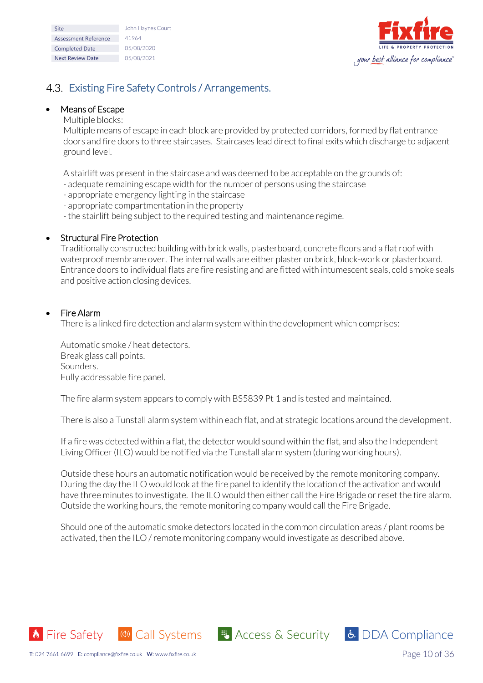| Site                    | John Haynes Court |
|-------------------------|-------------------|
| Assessment Reference    | 41964             |
| <b>Completed Date</b>   | 05/08/2020        |
| <b>Next Review Date</b> | 05/08/2021        |



## <span id="page-9-0"></span>4.3. Existing Fire Safety Controls / Arrangements.

#### • Means of Escape

#### Multiple blocks:

Multiple means of escape in each block are provided by protected corridors, formed by flat entrance doors and fire doors to three staircases. Staircases lead direct to final exits which discharge to adjacent ground level.

A stairlift was present in the staircase and was deemed to be acceptable on the grounds of:

- adequate remaining escape width for the number of persons using the staircase
- appropriate emergency lighting in the staircase
- appropriate compartmentation in the property
- the stairlift being subject to the required testing and maintenance regime.

#### • Structural Fire Protection

Traditionally constructed building with brick walls, plasterboard, concrete floors and a flatroof with waterproof membrane over. The internal walls are either plaster on brick, block-work or plasterboard. Entrance doors to individual flats are fire resisting and are fitted with intumescent seals, cold smoke seals and positive action closing devices.

#### • Fire Alarm

There is a linked fire detection and alarm system within the development which comprises:

Automatic smoke / heat detectors. Break glass call points. Sounders. Fully addressable fire panel.

The fire alarm system appears to comply with BS5839 Pt 1 and is tested and maintained.

There is also a Tunstall alarm system within each flat, and at strategic locations around the development.

If a fire was detected within a flat, the detector would sound within the flat, and also the Independent Living Officer (ILO) would be notified via the Tunstall alarm system (during working hours).

Outside these hours an automatic notification would be received by the remote monitoring company. During the day the ILO would look at the fire panel to identify the location of the activation and would have three minutes to investigate. The ILO would then either call the Fire Brigade or reset the fire alarm. Outside the working hours, the remote monitoring company would call the Fire Brigade.

Should one of the automatic smoke detectors located in the common circulation areas / plant rooms be activated, then the ILO / remote monitoring company would investigate as described above.



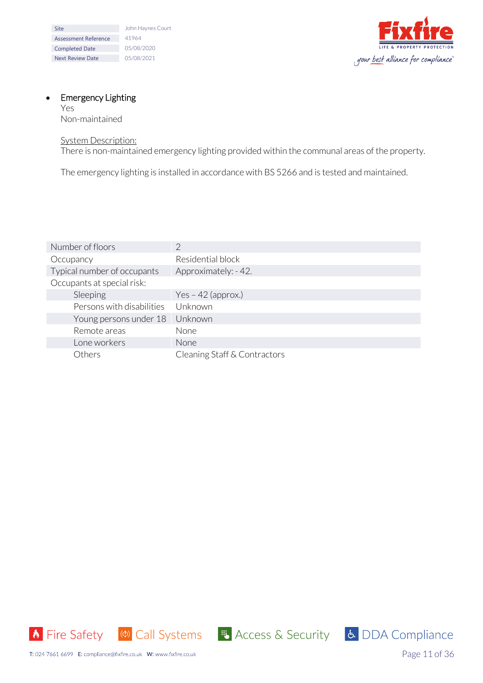

### • Emergency Lighting

Yes Non-maintained

#### **System Description:**

There is non-maintained emergency lighting provided within the communal areas of the property.

The emergency lighting is installed in accordance with BS 5266 and is tested and maintained.

| Number of floors            | 2                            |
|-----------------------------|------------------------------|
| Occupancy                   | Residential block            |
| Typical number of occupants | Approximately: -42.          |
| Occupants at special risk:  |                              |
| Sleeping                    | Yes $-42$ (approx.)          |
| Persons with disabilities   | Unknown                      |
| Young persons under 18      | Unknown                      |
| Remote areas                | None                         |
| Lone workers                | None                         |
| Others                      | Cleaning Staff & Contractors |

**6** Fire Safety (4) Call Systems **4 Access & Security** 6 DDA Compliance



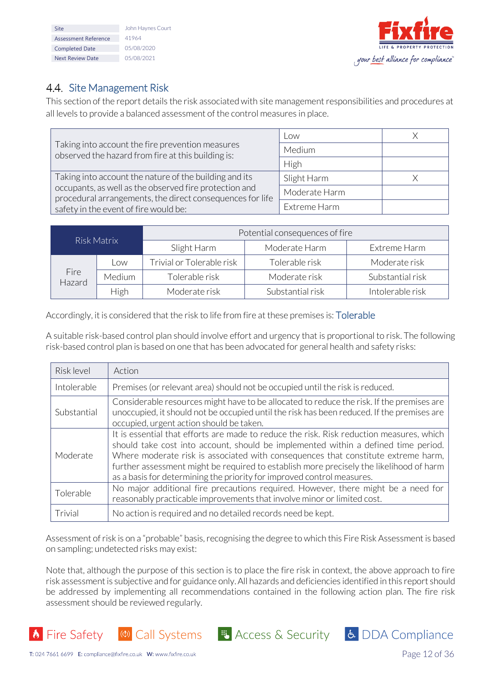| Site                    | John Haynes Court |
|-------------------------|-------------------|
| Assessment Reference    | 41964             |
| <b>Completed Date</b>   | 05/08/2020        |
| <b>Next Review Date</b> | 05/08/2021        |



## <span id="page-11-0"></span>4.4. Site Management Risk

This section of the report details the risk associated with site management responsibilities and procedures at all levels to provide a balanced assessment of the control measures in place.

|                                                                                                                     | I OW          |  |
|---------------------------------------------------------------------------------------------------------------------|---------------|--|
| Taking into account the fire prevention measures<br>observed the hazard from fire at this building is:              | Medium        |  |
|                                                                                                                     | <b>High</b>   |  |
| Taking into account the nature of the building and its                                                              | Slight Harm   |  |
| occupants, as well as the observed fire protection and<br>procedural arrangements, the direct consequences for life | Moderate Harm |  |
| safety in the event of fire would be:                                                                               | Extreme Harm  |  |

| Risk Matrix    |        | Potential consequences of fire               |                  |                  |
|----------------|--------|----------------------------------------------|------------------|------------------|
|                |        | Moderate Harm<br>Extreme Harm<br>Slight Harm |                  |                  |
|                | l ow   | Trivial or Tolerable risk                    | Tolerable risk   | Moderate risk    |
| Fire<br>Hazard | Medium | Tolerable risk                               | Moderate risk    | Substantial risk |
|                | High   | Moderate risk                                | Substantial risk | Intolerable risk |

Accordingly, it is considered that the risk to life from fire at these premises is: Tolerable

A suitable risk-based control plan should involve effort and urgency that is proportional to risk. The following risk-based control plan is based on one that has been advocated for general health and safety risks:

| Risk level  | Action                                                                                                                                                                                                                                                                                                                                                                                                                                   |
|-------------|------------------------------------------------------------------------------------------------------------------------------------------------------------------------------------------------------------------------------------------------------------------------------------------------------------------------------------------------------------------------------------------------------------------------------------------|
| Intolerable | Premises (or relevant area) should not be occupied until the risk is reduced.                                                                                                                                                                                                                                                                                                                                                            |
| Substantial | Considerable resources might have to be allocated to reduce the risk. If the premises are<br>unoccupied, it should not be occupied until the risk has been reduced. If the premises are<br>occupied, urgent action should be taken.                                                                                                                                                                                                      |
| Moderate    | It is essential that efforts are made to reduce the risk. Risk reduction measures, which<br>should take cost into account, should be implemented within a defined time period.<br>Where moderate risk is associated with consequences that constitute extreme harm,<br>further assessment might be required to establish more precisely the likelihood of harm<br>as a basis for determining the priority for improved control measures. |
| Tolerable   | No major additional fire precautions required. However, there might be a need for<br>reasonably practicable improvements that involve minor or limited cost.                                                                                                                                                                                                                                                                             |
| Trivial     | No action is required and no detailed records need be kept.                                                                                                                                                                                                                                                                                                                                                                              |

Assessment of risk is on a "probable" basis, recognising the degree to which this Fire Risk Assessment is based on sampling; undetected risks may exist:

Note that, although the purpose of this section is to place the fire risk in context, the above approach to fire risk assessment is subjective and for guidance only. All hazards and deficiencies identified in this report should be addressed by implementing all recommendations contained in the following action plan. The fire risk assessment should be reviewed regularly.

<mark>も</mark> Access & Security | よ DDA Compliance

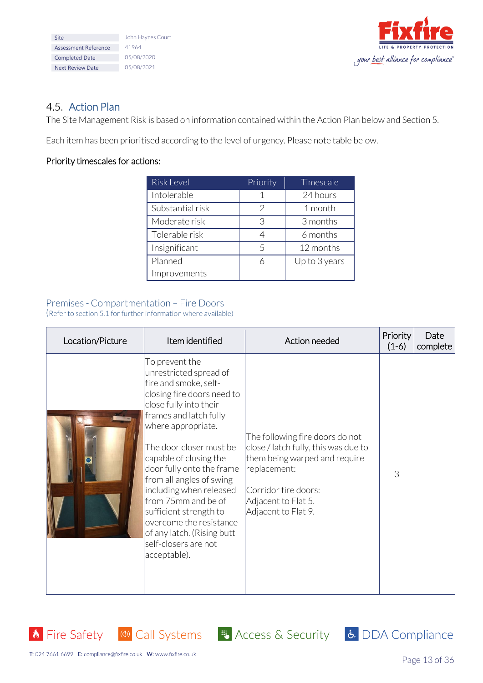| John Haynes Court |
|-------------------|
| 41964             |
| 05/08/2020        |
| 05/08/2021        |
|                   |



## <span id="page-12-0"></span>4.5. Action Plan

The Site Management Risk is based on information contained within the Action Plan below and Section 5.

Each item has been prioritised according to the level of urgency. Please note table below.

## Priority timescales for actions:

| <b>Risk Level</b> | Priority | <b>Timescale</b> |
|-------------------|----------|------------------|
| Intolerable       |          | 24 hours         |
| Substantial risk  | 2        | 1 month          |
| Moderate risk     | 3        | 3 months         |
| Tolerable risk    |          | 6 months         |
| Insignificant     | 5        | 12 months        |
| Planned           | К        | Up to 3 years    |
| Improvements      |          |                  |

## Premises - Compartmentation – Fire Doors

(Refer to section 5.1 for further information where available)

| Location/Picture | Item identified                                                                                                                                                                                                                                                                                                                                                                                                                                                      | Action needed                                                                                                                                                                                  | Priority<br>$(1-6)$ | Date<br>complete |
|------------------|----------------------------------------------------------------------------------------------------------------------------------------------------------------------------------------------------------------------------------------------------------------------------------------------------------------------------------------------------------------------------------------------------------------------------------------------------------------------|------------------------------------------------------------------------------------------------------------------------------------------------------------------------------------------------|---------------------|------------------|
|                  | To prevent the<br>unrestricted spread of<br>fire and smoke, self-<br>closing fire doors need to<br>close fully into their<br>frames and latch fully<br>where appropriate.<br>The door closer must be<br>capable of closing the<br>door fully onto the frame<br>from all angles of swing<br>including when released<br>from 75mm and be of<br>sufficient strength to<br>overcome the resistance<br>of any latch. (Rising butt<br>self-closers are not<br>acceptable). | The following fire doors do not<br>close / latch fully, this was due to<br>them being warped and require<br>replacement:<br>Corridor fire doors:<br>Adjacent to Flat 5.<br>Adjacent to Flat 9. | 3                   |                  |



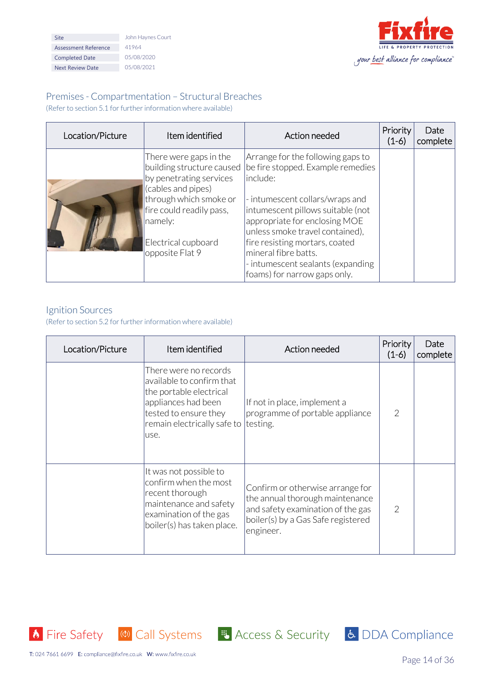| <b>Site</b>             | John Haynes Court |
|-------------------------|-------------------|
| Assessment Reference    | 41964             |
| <b>Completed Date</b>   | 05/08/2020        |
| <b>Next Review Date</b> | 05/08/2021        |



## Premises - Compartmentation – Structural Breaches

(Refer to section 5.1 for further information where available)

| Location/Picture | Item identified                                                                                                                                                                                                 | Action needed                                                                                                                                                                                                                                                                                                                                                  | <b>Priority</b><br>$(1-6)$ | Date<br>complete |
|------------------|-----------------------------------------------------------------------------------------------------------------------------------------------------------------------------------------------------------------|----------------------------------------------------------------------------------------------------------------------------------------------------------------------------------------------------------------------------------------------------------------------------------------------------------------------------------------------------------------|----------------------------|------------------|
|                  | There were gaps in the<br>building structure caused<br>by penetrating services<br>(cables and pipes)<br>through which smoke or<br>fire could readily pass,<br>namely:<br>Electrical cupboard<br>opposite Flat 9 | Arrange for the following gaps to<br>be fire stopped. Example remedies<br>linclude:<br>- intumescent collars/wraps and<br>intumescent pillows suitable (not<br>appropriate for enclosing MOE<br>unless smoke travel contained),<br>fire resisting mortars, coated<br>mineral fibre batts.<br>- intumescent sealants (expanding<br>foams) for narrow gaps only. |                            |                  |

## Ignition Sources

(Refer to section 5.2 for further information where available)

| Location/Picture | Item identified                                                                                                                                                      | Action needed                                                                                                                                               | Priority<br>$(1-6)$ | Date<br>complete |
|------------------|----------------------------------------------------------------------------------------------------------------------------------------------------------------------|-------------------------------------------------------------------------------------------------------------------------------------------------------------|---------------------|------------------|
|                  | There were no records<br>available to confirm that<br>the portable electrical<br>appliances had been<br>tested to ensure they<br>remain electrically safe to<br>use. | If not in place, implement a<br>programme of portable appliance<br>testing.                                                                                 | 2                   |                  |
|                  | It was not possible to<br>confirm when the most<br>recent thorough<br>maintenance and safety<br>examination of the gas<br>boiler(s) has taken place.                 | Confirm or otherwise arrange for<br>the annual thorough maintenance<br>and safety examination of the gas<br>boiler(s) by a Gas Safe registered<br>engineer. | 2                   |                  |

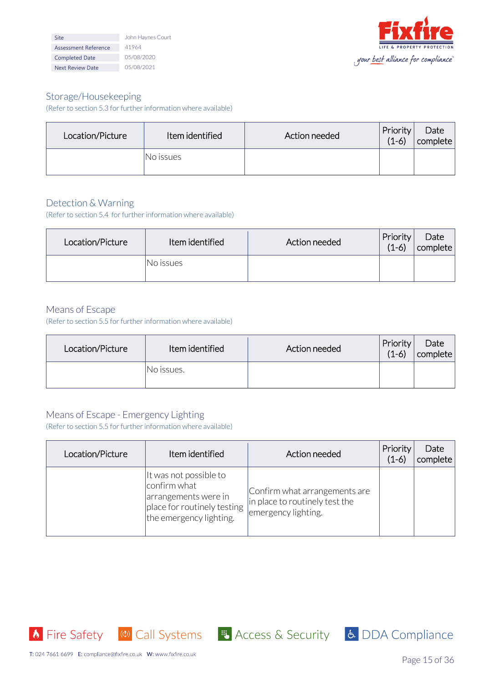| <b>Site</b>             | John Haynes Court |
|-------------------------|-------------------|
| Assessment Reference    | 41964             |
| <b>Completed Date</b>   | 05/08/2020        |
| <b>Next Review Date</b> | 05/08/2021        |



## Storage/Housekeeping

(Refer to section 5.3 for further information where available)

| Location/Picture | Item identified | Action needed | <b>Priority</b><br>$(1-6)$ | Date<br>complete |
|------------------|-----------------|---------------|----------------------------|------------------|
|                  | INo issues      |               |                            |                  |

## Detection & Warning

(Refer to section 5.4 for further information where available)

| Location/Picture | Item identified | Action needed | Priority<br>$(1-6)$ | Date<br>complete |
|------------------|-----------------|---------------|---------------------|------------------|
|                  | No issues       |               |                     |                  |

## Means of Escape

(Refer to section 5.5 for further information where available)

| Location/Picture | Item identified | Action needed | <b>Priority</b><br>$(1-6)$ | Date<br>complete |
|------------------|-----------------|---------------|----------------------------|------------------|
|                  | INo issues.     |               |                            |                  |

## Means of Escape - Emergency Lighting

(Refer to section 5.5 for further information where available)

| Location/Picture | Item identified                                                                                                          | Action needed                                                                          | Priority<br>$(1-6)$ | Date<br>complete |
|------------------|--------------------------------------------------------------------------------------------------------------------------|----------------------------------------------------------------------------------------|---------------------|------------------|
|                  | It was not possible to<br>confirm what<br>arrangements were in<br>place for routinely testing<br>the emergency lighting. | Confirm what arrangements are<br>in place to routinely test the<br>emergency lighting. |                     |                  |

**6** Fire Safety (1) Call Systems **ii** Access & Security **6** DDA Compliance



Page 15 of 36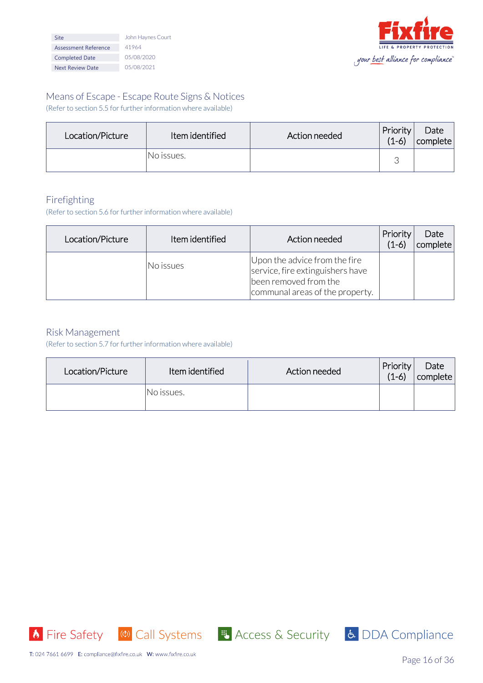| <b>Site</b>             | John Haynes Court |
|-------------------------|-------------------|
| Assessment Reference    | 41964             |
| <b>Completed Date</b>   | 05/08/2020        |
| <b>Next Review Date</b> | 05/08/2021        |



## Means of Escape - Escape Route Signs & Notices

(Refer to section 5.5 for further information where available)

| Location/Picture | Item identified | Action needed | Priority<br>$(1-6)$ | Date<br>complete |
|------------------|-----------------|---------------|---------------------|------------------|
|                  | INo issues.     |               |                     |                  |

## Firefighting

(Refer to section 5.6 for further information where available)

| Location/Picture | Item identified | Action needed                                                                                                                 | Priority<br>$(1-6)$ | Date<br>complete |
|------------------|-----------------|-------------------------------------------------------------------------------------------------------------------------------|---------------------|------------------|
|                  | No issues       | Upon the advice from the fire<br>service, fire extinguishers have<br>been removed from the<br>communal areas of the property. |                     |                  |

### Risk Management

(Refer to section 5.7 for further information where available)

| Location/Picture | Item identified | Action needed | Priority<br>$(1-6)$ | Date<br>complete |
|------------------|-----------------|---------------|---------------------|------------------|
|                  | INo issues.     |               |                     |                  |

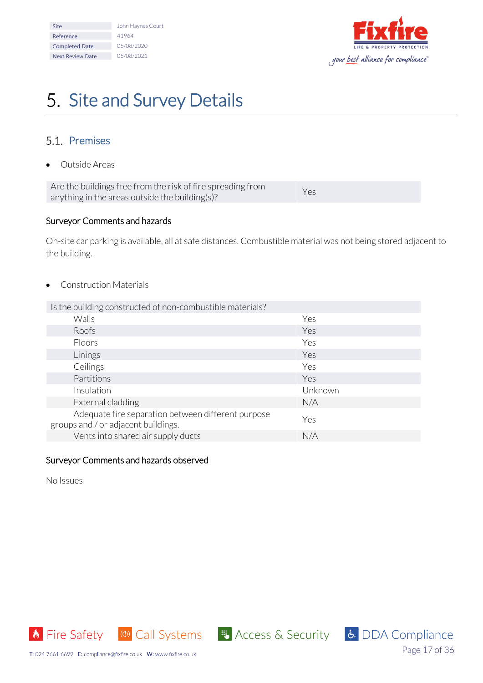| Site                    | John Haynes Court |
|-------------------------|-------------------|
| Reference               | 41964             |
| <b>Completed Date</b>   | 05/08/2020        |
| <b>Next Review Date</b> | 05/08/2021        |



# <span id="page-16-0"></span>5. Site and Survey Details

## <span id="page-16-1"></span>5.1 Premises

• Outside Areas

Are the buildings free from the risk of fire spreading from Are the buildings if ee from the risk of the spreading from Yes<br>anything in the areas outside the building(s)?

### Surveyor Comments and hazards

On-site car parking is available, all at safe distances. Combustible material was not being stored adjacent to the building.

• Construction Materials

| Is the building constructed of non-combustible materials?                                 |         |
|-------------------------------------------------------------------------------------------|---------|
| <b>Walls</b>                                                                              | Yes     |
| Roofs                                                                                     | Yes     |
| Floors                                                                                    | Yes     |
| Linings                                                                                   | Yes     |
| Ceilings                                                                                  | Yes     |
| Partitions                                                                                | Yes     |
| Insulation                                                                                | Unknown |
| External cladding                                                                         | N/A     |
| Adequate fire separation between different purpose<br>groups and / or adjacent buildings. | Yes     |
| Vents into shared air supply ducts                                                        | N/A     |
|                                                                                           |         |

#### Surveyor Comments and hazards observed

No Issues

**b** Fire Safety (4) Call Systems



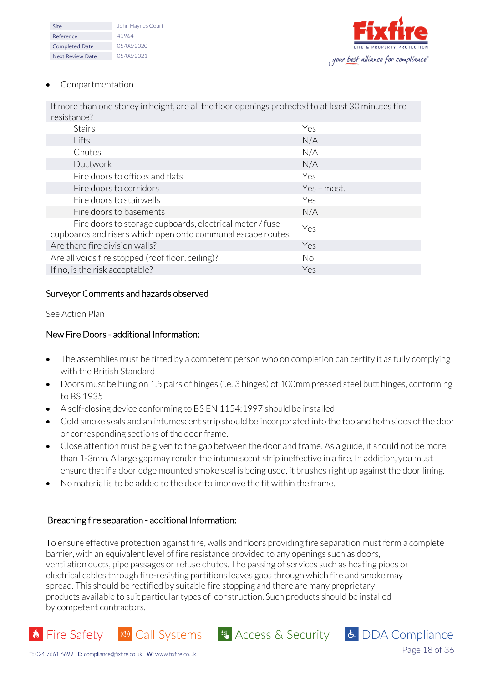| Site                    | John Haynes Court |
|-------------------------|-------------------|
| Reference               | 41964             |
| <b>Completed Date</b>   | 05/08/2020        |
| <b>Next Review Date</b> | 05/08/2021        |



#### • Compartmentation

If more than one storey in height, are all the floor openings protected to at least 30 minutes fire resistance?

| <b>Stairs</b>                                                                                                            | Yes         |
|--------------------------------------------------------------------------------------------------------------------------|-------------|
| Lifts                                                                                                                    | N/A         |
| Chutes                                                                                                                   | N/A         |
| <b>Ductwork</b>                                                                                                          | N/A         |
| Fire doors to offices and flats                                                                                          | Yes         |
| Fire doors to corridors                                                                                                  | Yes - most. |
| Fire doors to stairwells                                                                                                 | Yes         |
| Fire doors to basements                                                                                                  | N/A         |
| Fire doors to storage cupboards, electrical meter / fuse<br>cupboards and risers which open onto communal escape routes. | Yes         |
| Are there fire division walls?                                                                                           | Yes         |
| Are all voids fire stopped (roof floor, ceiling)?                                                                        | No.         |
| If no, is the risk acceptable?                                                                                           | Yes         |

#### Surveyor Comments and hazards observed

#### See Action Plan

#### New Fire Doors - additional Information:

- The assemblies must be fitted by a competent person who on completion can certify it as fully complying with the British Standard
- Doors must be hung on 1.5 pairs of hinges (i.e. 3 hinges) of 100mm pressed steel butt hinges, conforming to BS 1935
- A self-closing device conforming to BS EN 1154:1997 should be installed
- Cold smoke seals and an intumescent strip should be incorporated into the top and both sides of the door or corresponding sections of the door frame.
- Close attention must be given to the gap between the door and frame. As a guide, it should not be more than 1-3mm. A large gap may render the intumescent strip ineffective in a fire. In addition, you must ensure that if a door edge mounted smoke seal is being used, it brushes right up against the door lining.
- No material is to be added to the door to improve the fit within the frame.

#### Breaching fire separation - additional Information:

To ensure effective protection against fire, walls and floors providing fire separation must form a complete barrier, with an equivalent level of fire resistance provided to any openings such as doors, ventilation ducts, pipe passages or refuse chutes. The passing of services such as heating pipes or electrical cables through fire-resisting partitions leaves gaps through which fire and smoke may spread. This should be rectified by suitable fire stopping and there are many proprietary products available to suit particular types of construction. Such products should be installed by competent contractors.



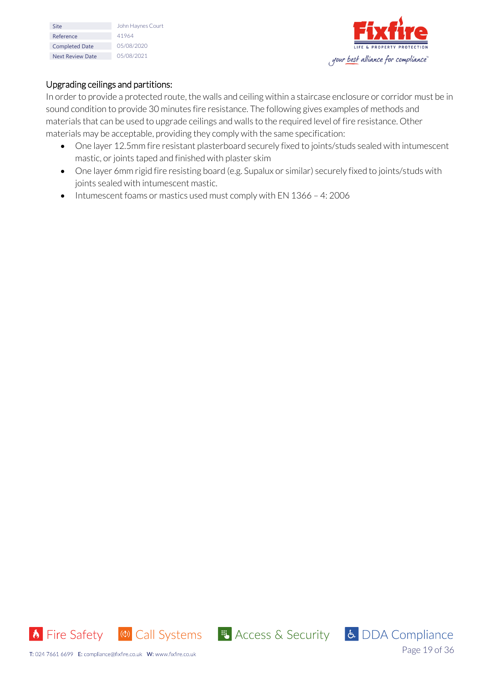| Site                    | John Haynes Court |
|-------------------------|-------------------|
| Reference               | 41964             |
| <b>Completed Date</b>   | 05/08/2020        |
| <b>Next Review Date</b> | 05/08/2021        |



## Upgrading ceilings and partitions:

In order to provide a protected route, the walls and ceiling within a staircase enclosure or corridor must be in sound condition to provide 30 minutes fire resistance. The following gives examples of methods and materials that can be used to upgrade ceilings and walls to the required level of fire resistance. Other materials may be acceptable, providing they comply with the same specification:

- One layer 12.5mm fire resistant plasterboard securely fixed to joints/studs sealed with intumescent mastic, or joints taped and finished with plaster skim
- One layer 6mm rigid fire resisting board (e.g. Supalux or similar) securely fixed to joints/studs with joints sealed with intumescent mastic.
- Intumescent foams or mastics used must comply with EN 1366 4: 2006



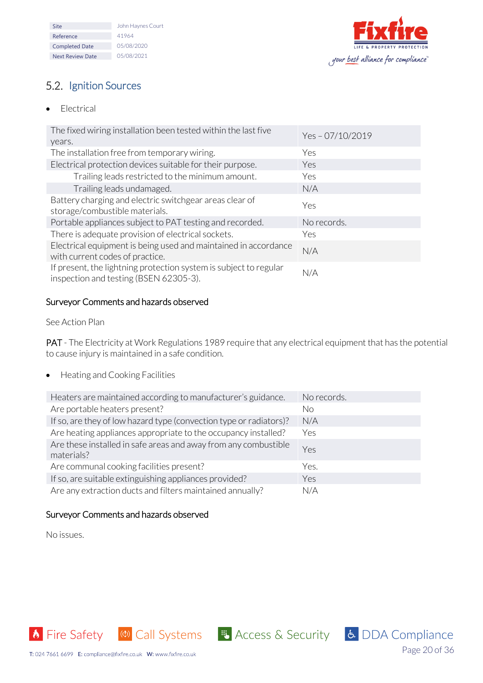| Site                    | John Haynes Court |
|-------------------------|-------------------|
| Reference               | 41964             |
| <b>Completed Date</b>   | 05/08/2020        |
| <b>Next Review Date</b> | 05/08/2021        |



Page 20 of 36

## <span id="page-19-0"></span>5.2. Ignition Sources

• Electrical

| The fixed wiring installation been tested within the last five                                              | $Yes - 07/10/2019$ |
|-------------------------------------------------------------------------------------------------------------|--------------------|
| years.                                                                                                      |                    |
| The installation free from temporary wiring.                                                                | Yes                |
| Electrical protection devices suitable for their purpose.                                                   | Yes                |
| Trailing leads restricted to the minimum amount.                                                            | Yes                |
| Trailing leads undamaged.                                                                                   | N/A                |
| Battery charging and electric switchgear areas clear of<br>storage/combustible materials.                   | Yes                |
| Portable appliances subject to PAT testing and recorded.                                                    | No records.        |
| There is adequate provision of electrical sockets.                                                          | Yes                |
| Electrical equipment is being used and maintained in accordance<br>with current codes of practice.          | N/A                |
| If present, the lightning protection system is subject to regular<br>inspection and testing (BSEN 62305-3). | N/A                |

## Surveyor Comments and hazards observed

#### See Action Plan

PAT - The Electricity at Work Regulations 1989 require that any electrical equipment that has the potential to cause injury is maintained in a safe condition.

• Heating and Cooking Facilities

| Heaters are maintained according to manufacturer's guidance.                  | No records. |
|-------------------------------------------------------------------------------|-------------|
| Are portable heaters present?                                                 | No.         |
| If so, are they of low hazard type (convection type or radiators)?            | N/A         |
| Are heating appliances appropriate to the occupancy installed?                | Yes         |
| Are these installed in safe areas and away from any combustible<br>materials? | Yes         |
| Are communal cooking facilities present?                                      | Yes.        |
| If so, are suitable extinguishing appliances provided?                        | Yes         |
| Are any extraction ducts and filters maintained annually?                     | N/A         |

### Surveyor Comments and hazards observed

No issues.

**6** Fire Safety (4) Call Systems **4 Access & Security** 6 DDA Compliance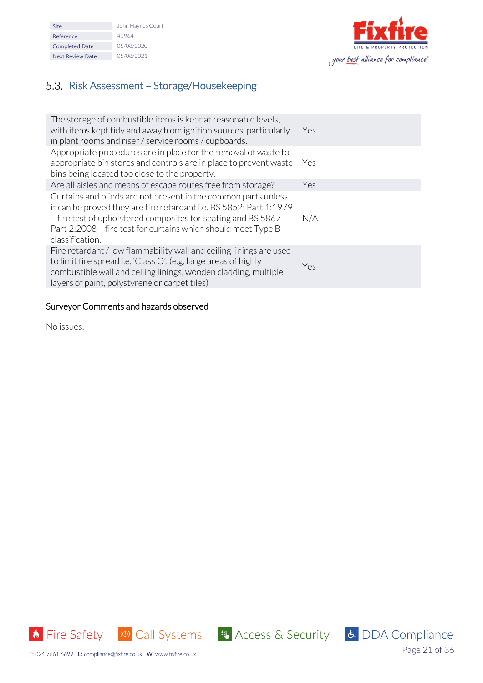| Site                    | John Haynes Court |
|-------------------------|-------------------|
| Reference               | 41964             |
| <b>Completed Date</b>   | 05/08/2020        |
| <b>Next Review Date</b> | 05/08/2021        |



Page 21 of 36

## <span id="page-20-0"></span>5.3. Risk Assessment - Storage/Housekeeping

| Yes   |
|-------|
| - Yes |
| Yes   |
| N/A   |
| Yes   |
|       |

## Surveyor Comments and hazards observed

No issues.

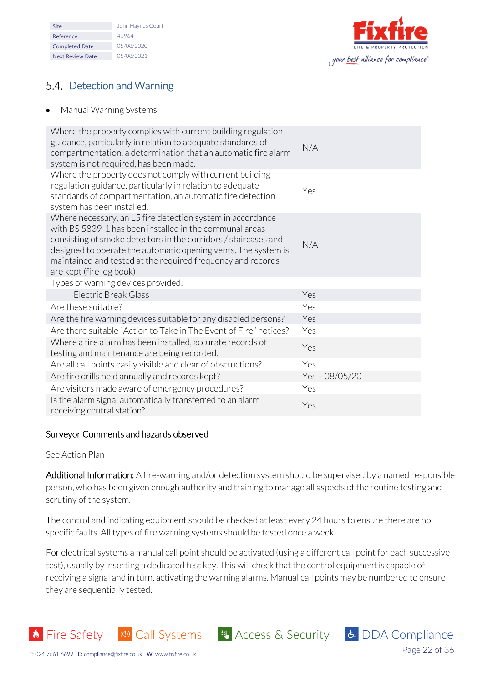| Site                    | John Haynes Court |
|-------------------------|-------------------|
| Reference               | 41964             |
| <b>Completed Date</b>   | 05/08/2020        |
| <b>Next Review Date</b> | 05/08/2021        |



## <span id="page-21-0"></span>5.4. Detection and Warning

• Manual Warning Systems

| Where the property complies with current building regulation<br>guidance, particularly in relation to adequate standards of<br>compartmentation, a determination that an automatic fire alarm<br>system is not required, has been made.                                                                                                               | N/A          |
|-------------------------------------------------------------------------------------------------------------------------------------------------------------------------------------------------------------------------------------------------------------------------------------------------------------------------------------------------------|--------------|
| Where the property does not comply with current building<br>regulation guidance, particularly in relation to adequate<br>standards of compartmentation, an automatic fire detection<br>system has been installed.                                                                                                                                     | Yes          |
| Where necessary, an L5 fire detection system in accordance<br>with BS 5839-1 has been installed in the communal areas<br>consisting of smoke detectors in the corridors / staircases and<br>designed to operate the automatic opening vents. The system is<br>maintained and tested at the required frequency and records<br>are kept (fire log book) | N/A          |
| Types of warning devices provided:                                                                                                                                                                                                                                                                                                                    |              |
| Electric Break Glass                                                                                                                                                                                                                                                                                                                                  | Yes          |
| Are these suitable?                                                                                                                                                                                                                                                                                                                                   | Yes          |
| Are the fire warning devices suitable for any disabled persons?                                                                                                                                                                                                                                                                                       | Yes          |
| Are there suitable "Action to Take in The Event of Fire" notices?                                                                                                                                                                                                                                                                                     | Yes          |
| Where a fire alarm has been installed, accurate records of<br>testing and maintenance are being recorded.                                                                                                                                                                                                                                             | Yes          |
| Are all call points easily visible and clear of obstructions?                                                                                                                                                                                                                                                                                         | Yes          |
| Are fire drills held annually and records kept?                                                                                                                                                                                                                                                                                                       | Yes-08/05/20 |
| Are visitors made aware of emergency procedures?                                                                                                                                                                                                                                                                                                      | Yes          |
| Is the alarm signal automatically transferred to an alarm<br>receiving central station?                                                                                                                                                                                                                                                               | Yes          |

## Surveyor Comments and hazards observed

### See Action Plan

**8** Fire Safety

Additional Information: A fire-warning and/or detection system should be supervised by a named responsible person, who has been given enough authority and training to manage all aspects of the routine testing and scrutiny of the system.

The control and indicating equipment should be checked at least every 24 hours to ensure there are no specific faults. All types of fire warning systems should be tested once a week.

For electrical systems a manual call point should be activated (using a different call point for each successive test), usually by inserting a dedicated test key. This will check that the control equipment is capable of receiving a signal and in turn, activating the warning alarms. Manual call points may be numbered to ensure they are sequentially tested.

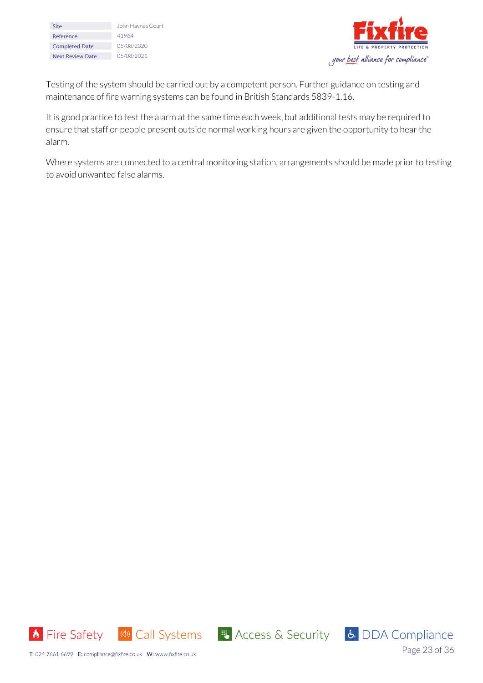| John Haynes Court |
|-------------------|
|                   |
| 41964             |
| 05/08/2020        |
| 05/08/2021        |
|                   |



Testing of the system should be carried out by a competent person. Further guidance on testing and maintenance of fire warning systems can be found in British Standards 5839-1.16.

It is good practice to test the alarm at the same time each week, but additional tests may be required to ensure that staff or people present outside normal working hours are given the opportunity to hear the alarm.

Where systems are connected to a central monitoring station, arrangements should be made prior to testing to avoid unwanted false alarms.



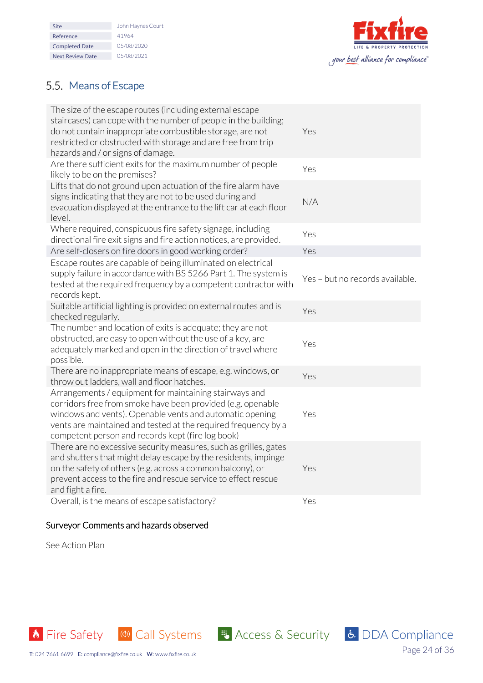| Site                    | John Haynes Court |
|-------------------------|-------------------|
| Reference               | 41964             |
| <b>Completed Date</b>   | 05/08/2020        |
| <b>Next Review Date</b> | 05/08/2021        |
|                         |                   |



Page 24 of 36

## <span id="page-23-0"></span>5.5. Means of Escape

| The size of the escape routes (including external escape<br>staircases) can cope with the number of people in the building;<br>do not contain inappropriate combustible storage, are not<br>restricted or obstructed with storage and are free from trip<br>hazards and / or signs of damage.            | Yes                             |
|----------------------------------------------------------------------------------------------------------------------------------------------------------------------------------------------------------------------------------------------------------------------------------------------------------|---------------------------------|
| Are there sufficient exits for the maximum number of people<br>likely to be on the premises?                                                                                                                                                                                                             | Yes                             |
| Lifts that do not ground upon actuation of the fire alarm have<br>signs indicating that they are not to be used during and<br>evacuation displayed at the entrance to the lift car at each floor<br>level.                                                                                               | N/A                             |
| Where required, conspicuous fire safety signage, including<br>directional fire exit signs and fire action notices, are provided.                                                                                                                                                                         | Yes                             |
| Are self-closers on fire doors in good working order?                                                                                                                                                                                                                                                    | Yes                             |
| Escape routes are capable of being illuminated on electrical<br>supply failure in accordance with BS 5266 Part 1. The system is<br>tested at the required frequency by a competent contractor with<br>records kept.                                                                                      | Yes - but no records available. |
| Suitable artificial lighting is provided on external routes and is<br>checked regularly.                                                                                                                                                                                                                 | Yes                             |
| The number and location of exits is adequate; they are not<br>obstructed, are easy to open without the use of a key, are<br>adequately marked and open in the direction of travel where<br>possible.                                                                                                     | Yes                             |
| There are no inappropriate means of escape, e.g. windows, or<br>throw out ladders, wall and floor hatches.                                                                                                                                                                                               | Yes                             |
| Arrangements / equipment for maintaining stairways and<br>corridors free from smoke have been provided (e.g. openable<br>windows and vents). Openable vents and automatic opening<br>vents are maintained and tested at the required frequency by a<br>competent person and records kept (fire log book) | Yes                             |
| There are no excessive security measures, such as grilles, gates<br>and shutters that might delay escape by the residents, impinge<br>on the safety of others (e.g. across a common balcony), or<br>prevent access to the fire and rescue service to effect rescue<br>and fight a fire.                  | Yes                             |
| Overall, is the means of escape satisfactory?                                                                                                                                                                                                                                                            | Yes                             |

## Surveyor Comments and hazards observed

See Action Plan

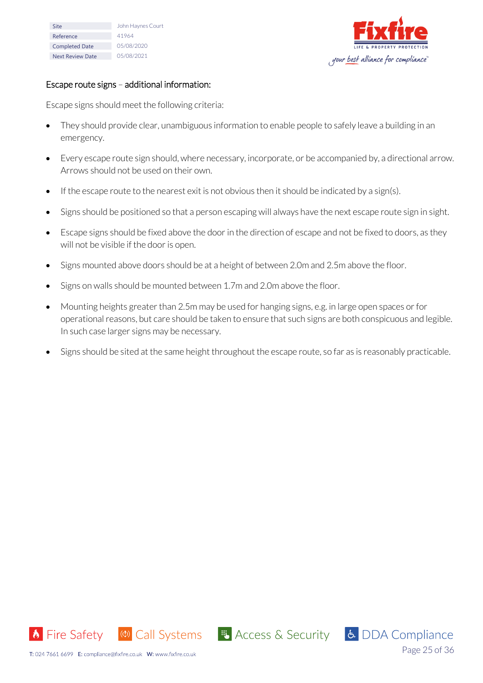| Site                    | John Haynes Court |
|-------------------------|-------------------|
| Reference               | 41964             |
| <b>Completed Date</b>   | 05/08/2020        |
| <b>Next Review Date</b> | 05/08/2021        |
|                         |                   |



#### Escape route signs – additional information:

Escape signs should meet the following criteria:

- They should provide clear, unambiguous information to enable people to safely leave a building in an emergency.
- Every escape route sign should, where necessary, incorporate, or be accompanied by, a directional arrow. Arrows should not be used on their own.
- If the escape route to the nearest exit is not obvious then it should be indicated by a sign(s).
- Signs should be positioned so that a person escaping will always have the next escape route sign in sight.
- Escape signs should be fixed above the door in the direction of escape and not be fixed to doors, as they will not be visible if the door is open.
- Signs mounted above doors should be at a height of between 2.0m and 2.5m above the floor.
- Signs on walls should be mounted between 1.7m and 2.0m above the floor.
- Mounting heights greater than 2.5m may be used for hanging signs, e.g. in large open spaces or for operational reasons, but care should be taken to ensure that such signs are both conspicuous and legible. In such case larger signs may be necessary.
- Signs should be sited at the same height throughout the escape route, so far as is reasonably practicable.





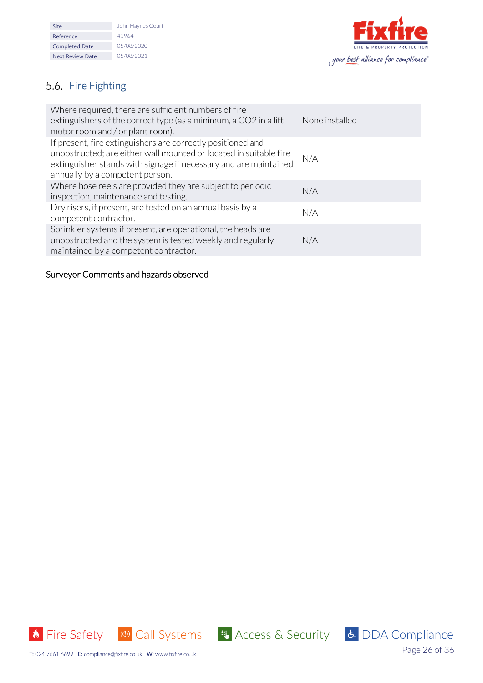| John Haynes Court |
|-------------------|
| 41964             |
| 05/08/2020        |
| 05/08/2021        |
|                   |



## <span id="page-25-0"></span>5.6. Fire Fighting

| Where required, there are sufficient numbers of fire<br>extinguishers of the correct type (as a minimum, a CO2 in a lift<br>motor room and / or plant room).                                                                            | None installed |
|-----------------------------------------------------------------------------------------------------------------------------------------------------------------------------------------------------------------------------------------|----------------|
| If present, fire extinguishers are correctly positioned and<br>unobstructed; are either wall mounted or located in suitable fire<br>extinguisher stands with signage if necessary and are maintained<br>annually by a competent person. | N/A            |
| Where hose reels are provided they are subject to periodic<br>inspection, maintenance and testing.                                                                                                                                      | N/A            |
| Dry risers, if present, are tested on an annual basis by a<br>competent contractor.                                                                                                                                                     | N/A            |
| Sprinkler systems if present, are operational, the heads are<br>unobstructed and the system is tested weekly and regularly<br>maintained by a competent contractor.                                                                     | N/A            |

## Surveyor Comments and hazards observed





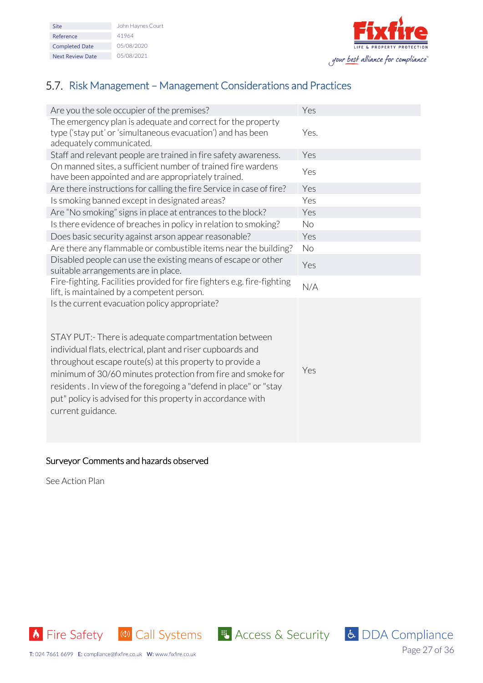| Site                    | John Haynes Court |
|-------------------------|-------------------|
| Reference               | 41964             |
| <b>Completed Date</b>   | 05/08/2020        |
| <b>Next Review Date</b> | 05/08/2021        |



## <span id="page-26-0"></span>5.7. Risk Management – Management Considerations and Practices

| Are you the sole occupier of the premises?                                                                                                                                                                                                                                                                                                                                                                                                              | Yes       |
|---------------------------------------------------------------------------------------------------------------------------------------------------------------------------------------------------------------------------------------------------------------------------------------------------------------------------------------------------------------------------------------------------------------------------------------------------------|-----------|
| The emergency plan is adequate and correct for the property<br>type ('stay put' or 'simultaneous evacuation') and has been<br>adequately communicated.                                                                                                                                                                                                                                                                                                  | Yes.      |
| Staff and relevant people are trained in fire safety awareness.                                                                                                                                                                                                                                                                                                                                                                                         | Yes       |
| On manned sites, a sufficient number of trained fire wardens<br>have been appointed and are appropriately trained.                                                                                                                                                                                                                                                                                                                                      | Yes       |
| Are there instructions for calling the fire Service in case of fire?                                                                                                                                                                                                                                                                                                                                                                                    | Yes       |
| Is smoking banned except in designated areas?                                                                                                                                                                                                                                                                                                                                                                                                           | Yes       |
| Are "No smoking" signs in place at entrances to the block?                                                                                                                                                                                                                                                                                                                                                                                              | Yes       |
| Is there evidence of breaches in policy in relation to smoking?                                                                                                                                                                                                                                                                                                                                                                                         | <b>No</b> |
| Does basic security against arson appear reasonable?                                                                                                                                                                                                                                                                                                                                                                                                    | Yes       |
| Are there any flammable or combustible items near the building?                                                                                                                                                                                                                                                                                                                                                                                         | <b>No</b> |
| Disabled people can use the existing means of escape or other<br>suitable arrangements are in place.                                                                                                                                                                                                                                                                                                                                                    | Yes       |
| Fire-fighting. Facilities provided for fire fighters e.g. fire-fighting<br>lift, is maintained by a competent person.                                                                                                                                                                                                                                                                                                                                   | N/A       |
| Is the current evacuation policy appropriate?<br>STAY PUT: There is adequate compartmentation between<br>individual flats, electrical, plant and riser cupboards and<br>throughout escape route(s) at this property to provide a<br>minimum of 30/60 minutes protection from fire and smoke for<br>residents. In view of the foregoing a "defend in place" or "stay<br>put" policy is advised for this property in accordance with<br>current guidance. | Yes       |

## Surveyor Comments and hazards observed

See Action Plan



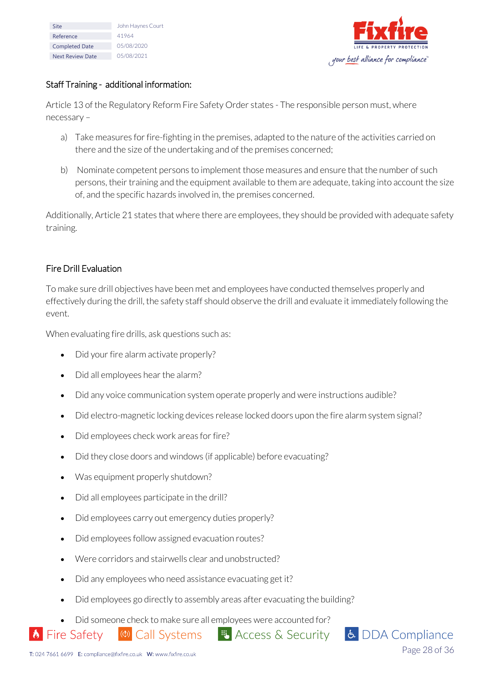| Site                    | John Haynes Court |
|-------------------------|-------------------|
| Reference               | 41964             |
| <b>Completed Date</b>   | 05/08/2020        |
| <b>Next Review Date</b> | 05/08/2021        |
|                         |                   |



## Staff Training - additional information:

Article 13 of the Regulatory Reform Fire Safety Order states - The responsible person must, where necessary –

- a) Take measures for fire-fighting in the premises, adapted to the nature of the activities carried on there and the size of the undertaking and of the premises concerned;
- b) Nominate competent persons to implement those measures and ensure that the number of such persons, their training and the equipment available to them are adequate, taking into account the size of, and the specific hazards involved in, the premises concerned.

Additionally, Article 21 states that where there are employees, they should be provided with adequate safety training.

## Fire Drill Evaluation

To make sure drill objectives have been met and employees have conducted themselves properly and effectively during the drill, the safety staff should observe the drill and evaluate it immediately following the event.

When evaluating fire drills, ask questions such as:

- Did your fire alarm activate properly?
- Did all employees hear the alarm?
- Did any voice communication system operate properly and were instructions audible?
- Did electro-magnetic locking devices release locked doors upon the fire alarm system signal?
- Did employees check work areas for fire?
- Did they close doors and windows (if applicable) before evacuating?
- Was equipment properly shutdown?
- Did all employees participate in the drill?
- Did employees carry out emergency duties properly?
- Did employees follow assigned evacuation routes?
- Were corridors and stairwells clear and unobstructed?
- Did any employees who need assistance evacuating get it?
- Did employees go directly to assembly areas after evacuating the building?
- Did someone check to make sure all employees were accounted for?

**b** Fire Safety (c) Call Systems  $\big|$  Access & Security

Page 28 of 36

& DDA Compliance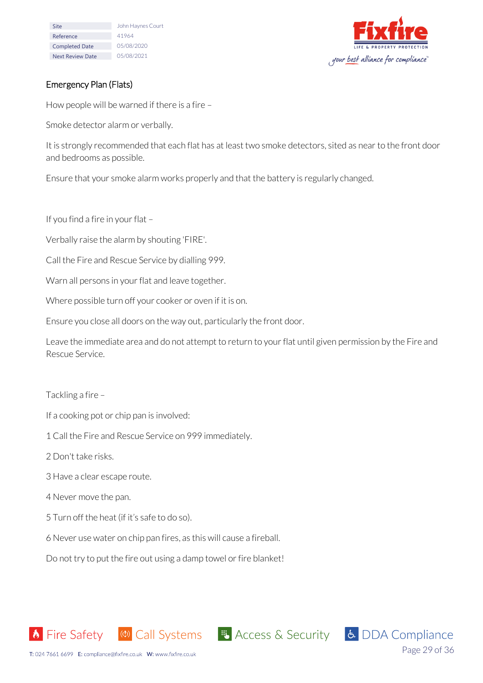| Site                    | John Haynes Court |
|-------------------------|-------------------|
| Reference               | 41964             |
| <b>Completed Date</b>   | 05/08/2020        |
| <b>Next Review Date</b> | 05/08/2021        |



Page 29 of 36

## Emergency Plan (Flats)

How people will be warned if there is a fire –

Smoke detector alarm or verbally.

It is strongly recommended that each flat has at least two smoke detectors, sited as near to the front door and bedrooms as possible.

Ensure that your smoke alarm works properly and that the battery is regularly changed.

If you find a fire in your flat –

Verbally raise the alarm by shouting 'FIRE'.

Call the Fire and Rescue Service by dialling 999.

Warn all persons in your flat and leave together.

Where possible turn off your cooker or oven if it is on.

Ensure you close all doors on the way out, particularly the front door.

Leave the immediate area and do not attempt to return to your flat until given permission by the Fire and Rescue Service.

Tackling a fire –

If a cooking pot or chip pan is involved:

1 Call the Fire and Rescue Service on 999 immediately.

2 Don't take risks.

3 Have a clear escape route.

4 Never move the pan.

5 Turn off the heat (if it's safe to do so).

6 Never use water on chip pan fires, as this will cause a fireball.

Do not try to put the fire out using a damp towel or fire blanket!

**8** Fire Safety (4) Call Systems | # Access & Security | & DDA Compliance

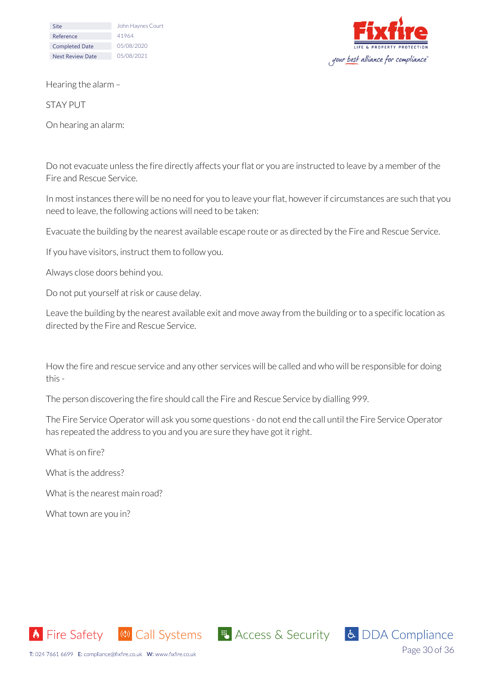| John Haynes Court |
|-------------------|
| 41964             |
| 05/08/2020        |
| 05/08/2021        |
|                   |



Hearing the alarm –

STAY PUT

On hearing an alarm:

Do not evacuate unless the fire directly affects your flat or you are instructed to leave by a member of the Fire and Rescue Service.

In most instances there will be no need for you to leave your flat, however if circumstances are such that you need to leave, the following actions will need to be taken:

Evacuate the building by the nearest available escape route or as directed by the Fire and Rescue Service.

If you have visitors, instruct them to follow you.

Always close doors behind you.

Do not put yourself at risk or cause delay.

Leave the building by the nearest available exit and move away from the building or to a specific location as directed by the Fire and Rescue Service.

How the fire and rescue service and any other services will be called and who will be responsible for doing this -

The person discovering the fire should call the Fire and Rescue Service by dialling 999.

The Fire Service Operator will ask you some questions - do not end the call until the Fire Service Operator has repeated the address to you and you are sure they have got it right.

What is on fire?

What is the address?

What is the nearest main road?

What town are you in?







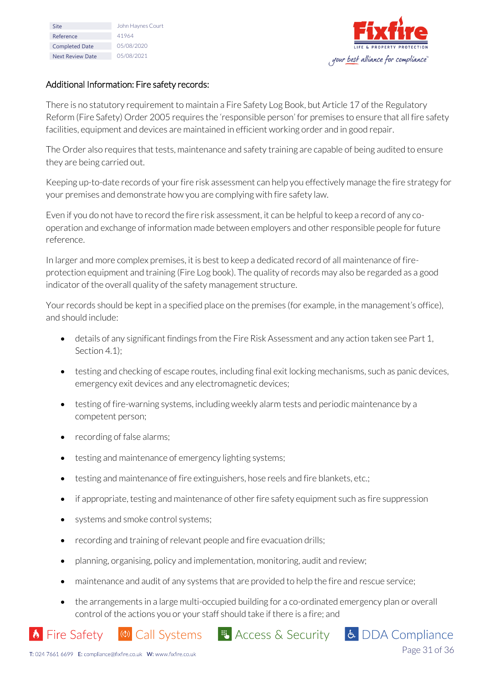| Site                    | John Haynes Court |
|-------------------------|-------------------|
| Reference               | 41964             |
| <b>Completed Date</b>   | 05/08/2020        |
| <b>Next Review Date</b> | 05/08/2021        |
|                         |                   |



Page 31 of 36

## Additional Information: Fire safety records:

There is no statutory requirement to maintain a Fire Safety Log Book, but Article 17 of the Regulatory Reform (Fire Safety) Order 2005 requires the 'responsible person' for premises to ensure that all fire safety facilities, equipment and devices are maintained in efficient working order and in good repair.

The Order also requires that tests, maintenance and safety training are capable of being audited to ensure they are being carried out.

Keeping up-to-date records of your fire risk assessment can help you effectively manage the fire strategy for your premises and demonstrate how you are complying with fire safety law.

Even if you do not have to record the fire risk assessment, it can be helpful to keep a record of any cooperation and exchange of information made between employers and other responsible people for future reference.

In larger and more complex premises, it is best to keep a dedicated record of all maintenance of fireprotection equipment and training (Fire Log book). The quality of records may also be regarded as a good indicator of the overall quality of the safety management structure.

Your records should be kept in a specified place on the premises (for example, in the management's office), and should include:

- details of any significant findings from the Fire Risk Assessment and any action taken see Part 1, Section 4.1);
- testing and checking of escape routes, including final exit locking mechanisms, such as panic devices, emergency exit devices and any electromagnetic devices;
- testing of fire-warning systems, including weekly alarm tests and periodic maintenance by a competent person;
- recording of false alarms;
- testing and maintenance of emergency lighting systems;

(c) Call Systems

- testing and maintenance of fire extinguishers, hose reels and fire blankets, etc.;
- if appropriate, testing and maintenance of other fire safety equipment such as fire suppression
- systems and smoke control systems:
- recording and training of relevant people and fire evacuation drills;
- planning, organising, policy and implementation, monitoring, audit and review;
- maintenance and audit of any systems that are provided to help the fire and rescue service;
- the arrangements in a large multi-occupied building for a co-ordinated emergency plan or overall control of the actions you or your staff should take if there is a fire; and

**E** Access & Security **& DDA Compliance** 

**b** Fire Safety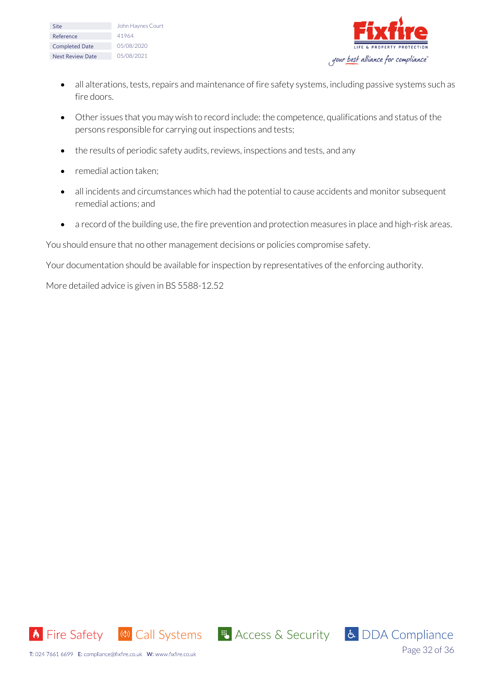| Site                    | John Haynes Court |
|-------------------------|-------------------|
| Reference               | 41964             |
| <b>Completed Date</b>   | 05/08/2020        |
| <b>Next Review Date</b> | 05/08/2021        |



- all alterations, tests, repairs and maintenance of fire safety systems, including passive systems such as fire doors.
- Other issues that you may wish to record include: the competence, qualifications and status of the persons responsible for carrying out inspections and tests;
- the results of periodic safety audits, reviews, inspections and tests, and any
- remedial action taken:
- all incidents and circumstances which had the potential to cause accidents and monitor subsequent remedial actions; and
- a record of the building use, the fire prevention and protection measures in place and high-risk areas.

You should ensure that no other management decisions or policies compromise safety.

Your documentation should be available for inspection by representatives of the enforcing authority.

More detailed advice is given in BS 5588-12.52





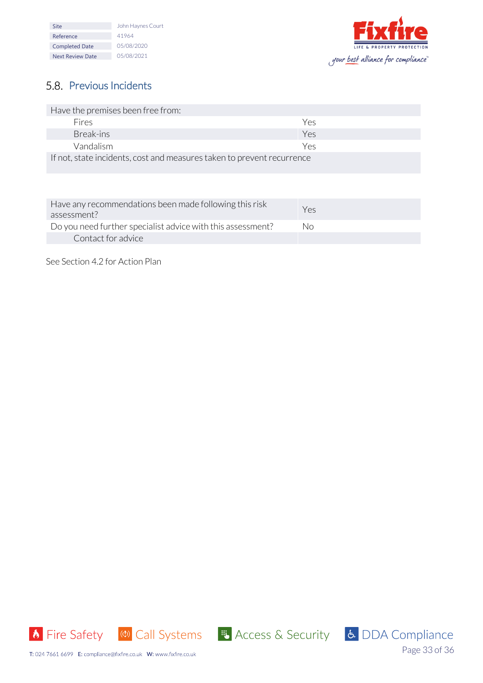| Site                    | John Haynes Court |
|-------------------------|-------------------|
| Reference               | 41964             |
| <b>Completed Date</b>   | 05/08/2020        |
| <b>Next Review Date</b> | 05/08/2021        |



## <span id="page-32-0"></span>5.8. Previous Incidents

| Have the premises been free from:                                      |     |
|------------------------------------------------------------------------|-----|
| Fires                                                                  | Yρς |
| Break-ins                                                              | Yes |
| Vandalism                                                              | Yρς |
| If not, state incidents, cost and measures taken to prevent recurrence |     |

| Have any recommendations been made following this risk<br>assessment? | Yes |
|-----------------------------------------------------------------------|-----|
| Do you need further specialist advice with this assessment?           | Nο  |
| Contact for advice                                                    |     |

See Section 4.2 for Action Plan



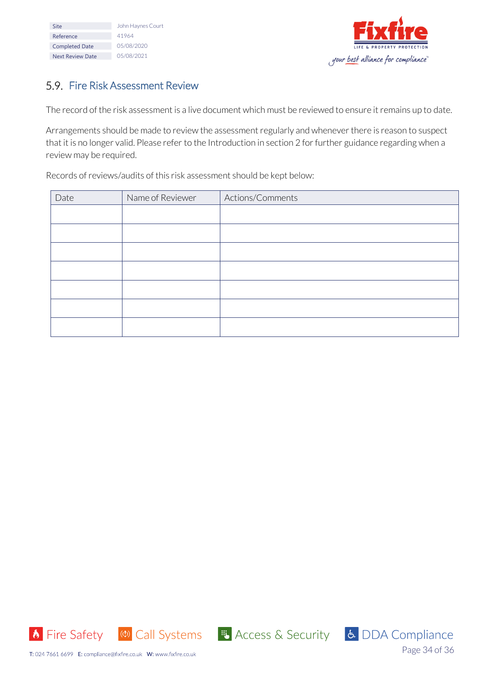| John Haynes Court |
|-------------------|
| 41964             |
| 05/08/2020        |
| 05/08/2021        |
|                   |



## <span id="page-33-0"></span>5.9. Fire Risk Assessment Review

The record of the risk assessment is a live document which must be reviewed to ensure it remains up to date.

Arrangements should be made to review the assessment regularly and whenever there is reason to suspect that it is no longer valid. Please refer to the Introduction in section 2 for further guidance regarding when a review may be required.

Records of reviews/audits of this risk assessment should be kept below:

| Date | Name of Reviewer | Actions/Comments |
|------|------------------|------------------|
|      |                  |                  |
|      |                  |                  |
|      |                  |                  |
|      |                  |                  |
|      |                  |                  |
|      |                  |                  |
|      |                  |                  |





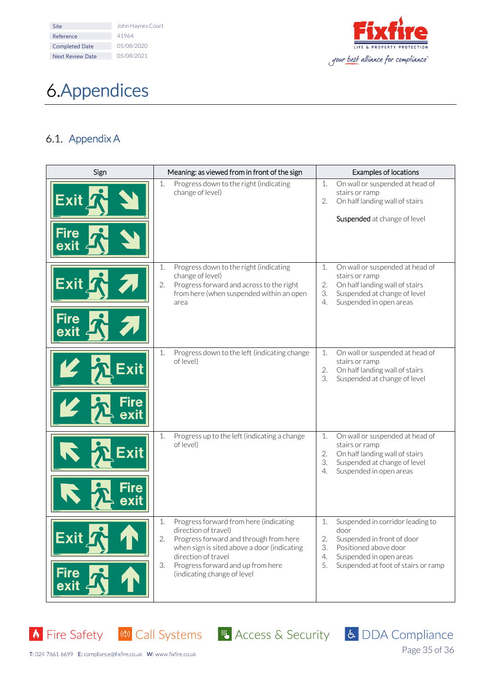| Site                    | John Haynes Court |
|-------------------------|-------------------|
| Reference               | 41964             |
| <b>Completed Date</b>   | 05/08/2020        |
| <b>Next Review Date</b> | 05/08/2021        |



# <span id="page-34-0"></span>Appendices

## <span id="page-34-1"></span>6.1. Appendix A

| Sign                | Meaning: as viewed from in front of the sign                                                                                                                                                                                                                         | Examples of locations                                                                                                                                                                           |  |
|---------------------|----------------------------------------------------------------------------------------------------------------------------------------------------------------------------------------------------------------------------------------------------------------------|-------------------------------------------------------------------------------------------------------------------------------------------------------------------------------------------------|--|
| Exi<br><b>Fire</b>  | Progress down to the right (indicating<br>1.<br>change of level)                                                                                                                                                                                                     | On wall or suspended at head of<br>1.<br>stairs or ramp<br>On half landing wall of stairs<br>2.<br>Suspended at change of level                                                                 |  |
| <u>Exit</u><br>Fire | 1.<br>Progress down to the right (indicating<br>change of level)<br>2.<br>Progress forward and across to the right<br>from here (when suspended within an open<br>area                                                                                               | On wall or suspended at head of<br>1.<br>stairs or ramp<br>2.<br>On half landing wall of stairs<br>3.<br>Suspended at change of level<br>Suspended in open areas<br>4.                          |  |
| Exit                | Progress down to the left (indicating change<br>1.<br>of level)                                                                                                                                                                                                      | 1.<br>On wall or suspended at head of<br>stairs or ramp<br>On half landing wall of stairs<br>2.<br>3.<br>Suspended at change of level                                                           |  |
|                     | Progress up to the left (indicating a change<br>1.<br>of level)                                                                                                                                                                                                      | On wall or suspended at head of<br>1.<br>stairs or ramp<br>2.<br>On half landing wall of stairs<br>3.<br>Suspended at change of level<br>4.<br>Suspended in open areas                          |  |
| Exit<br>Fire        | Progress forward from here (indicating<br>1.<br>direction of travel)<br>2.<br>Progress forward and through from here<br>when sign is sited above a door (indicating<br>direction of travel<br>3.<br>Progress forward and up from here<br>(indicating change of level | Suspended in corridor leading to<br>1.<br>door<br>2.<br>Suspended in front of door<br>3.<br>Positioned above door<br>Suspended in open areas<br>4.<br>5.<br>Suspended at foot of stairs or ramp |  |





**W** Access & Security